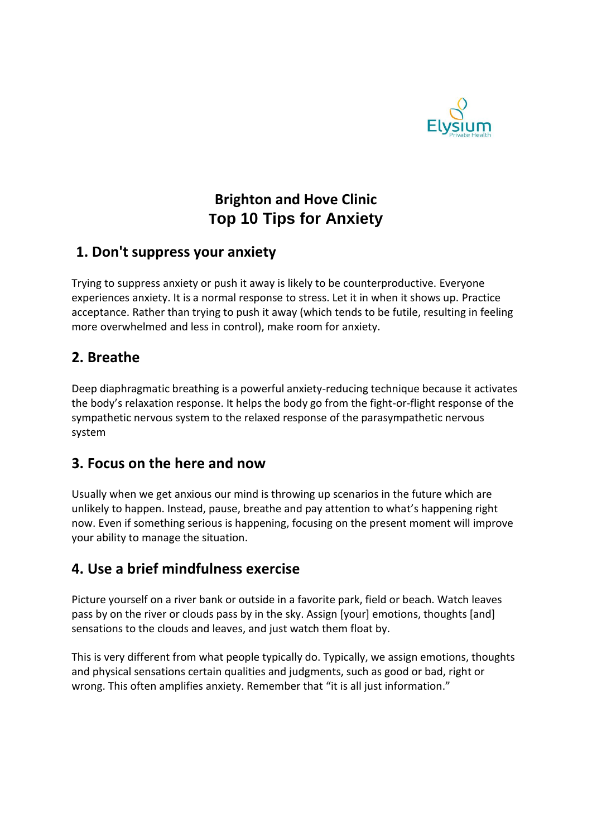

# **Brighton and Hove Clinic Top 10 Tips for Anxiety**

#### **1. Don't suppress your anxiety**

Trying to suppress anxiety or push it away is likely to be counterproductive. Everyone experiences anxiety. It is a normal response to stress. Let it in when it shows up. Practice acceptance. Rather than trying to push it away (which tends to be futile, resulting in feeling more overwhelmed and less in control), make room for anxiety.

#### **2. Breathe**

Deep diaphragmatic breathing is a powerful anxiety-reducing technique because it activates the body's relaxation response. It helps the body go from the fight-or-flight response of the sympathetic nervous system to the relaxed response of the parasympathetic nervous system

#### **3. Focus on the here and now**

Usually when we get anxious our mind is throwing up scenarios in the future which are unlikely to happen. Instead, pause, breathe and pay attention to what's happening right now. Even if something serious is happening, focusing on the present moment will improve your ability to manage the situation.

#### **4. Use a brief mindfulness exercise**

Picture yourself on a river bank or outside in a favorite park, field or beach. Watch leaves pass by on the river or clouds pass by in the sky. Assign [your] emotions, thoughts [and] sensations to the clouds and leaves, and just watch them float by.

This is very different from what people typically do. Typically, we assign emotions, thoughts and physical sensations certain qualities and judgments, such as good or bad, right or wrong. This often amplifies anxiety. Remember that "it is all just information."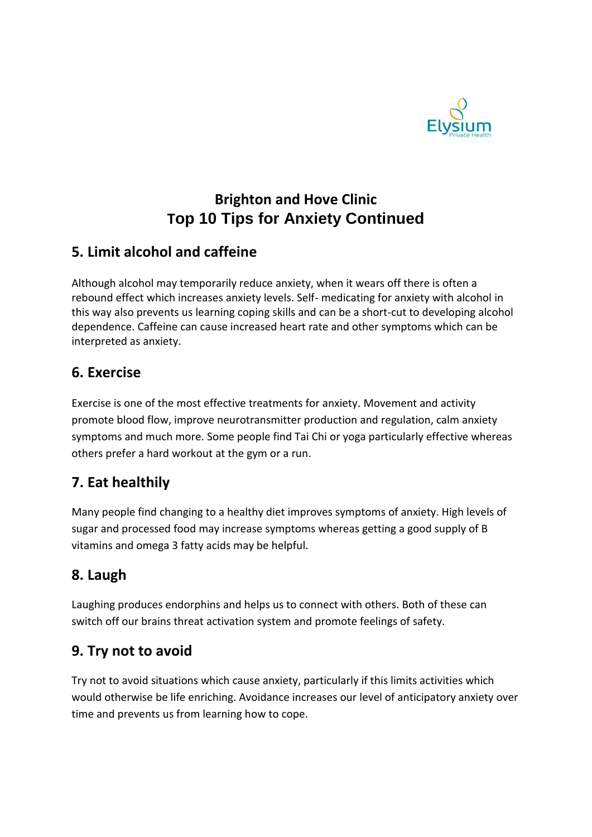

# **Brighton and Hove Clinic Top 10 Tips for Anxiety Continued**

## **5. Limit alcohol and caffeine**

Although alcohol may temporarily reduce anxiety, when it wears off there is often a rebound effect which increases anxiety levels. Self- medicating for anxiety with alcohol in this way also prevents us learning coping skills and can be a short-cut to developing alcohol dependence. Caffeine can cause increased heart rate and other symptoms which can be interpreted as anxiety.

### **6. Exercise**

Exercise is one of the most effective treatments for anxiety. Movement and activity promote blood flow, improve neurotransmitter production and regulation, calm anxiety symptoms and much more. Some people find Tai Chi or yoga particularly effective whereas others prefer a hard workout at the gym or a run.

## **7. Eat healthily**

Many people find changing to a healthy diet improves symptoms of anxiety. High levels of sugar and processed food may increase symptoms whereas getting a good supply of B vitamins and omega 3 fatty acids may be helpful.

# **8. Laugh**

Laughing produces endorphins and helps us to connect with others. Both of these can switch off our brains threat activation system and promote feelings of safety.

## **9. Try not to avoid**

Try not to avoid situations which cause anxiety, particularly if this limits activities which would otherwise be life enriching. Avoidance increases our level of anticipatory anxiety over time and prevents us from learning how to cope.